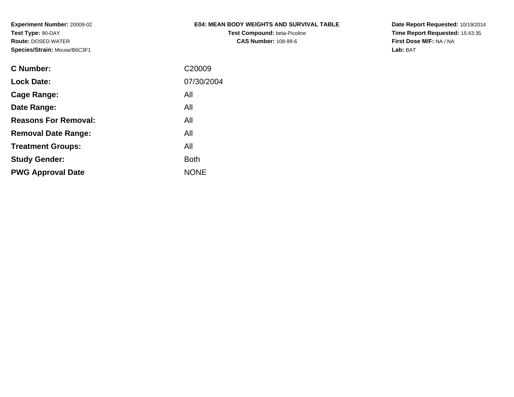**Test Compound:** beta-Picoline**CAS Number:** 108-99-6

**Date Report Requested:** 10/19/2014 **Time Report Requested:** 15:43:35**First Dose M/F:** NA / NA**Lab:** BAT

| <b>C</b> Number:            | C <sub>20009</sub> |
|-----------------------------|--------------------|
| <b>Lock Date:</b>           | 07/30/2004         |
| Cage Range:                 | All                |
| Date Range:                 | All                |
| <b>Reasons For Removal:</b> | All                |
| <b>Removal Date Range:</b>  | All                |
| <b>Treatment Groups:</b>    | All                |
| <b>Study Gender:</b>        | <b>Both</b>        |
| <b>PWG Approval Date</b>    | <b>NONE</b>        |
|                             |                    |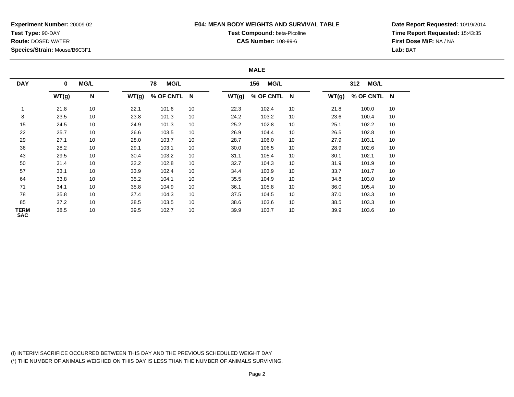## **E04: MEAN BODY WEIGHTS AND SURVIVAL TABLE**

# **Test Compound:** beta-Picoline**CAS Number:** 108-99-6

**Date Report Requested:** 10/19/2014**Time Report Requested:** 15:43:35**First Dose M/F:** NA / NA**Lab:** BAT

#### **MALE**

| <b>DAY</b>                | $\bf{0}$ | <b>MG/L</b>     |       | MG/L<br>78  |    | 156<br><b>MG/L</b> |             | <b>MG/L</b><br>312 |       |             |    |
|---------------------------|----------|-----------------|-------|-------------|----|--------------------|-------------|--------------------|-------|-------------|----|
|                           |          |                 |       |             |    |                    |             |                    |       |             |    |
|                           | WT(g)    | N               | WT(g) | % OF CNTL N |    | WT(g)              | % OF CNTL N |                    | WT(g) | % OF CNTL N |    |
|                           | 21.8     | 10 <sup>°</sup> | 22.1  | 101.6       | 10 | 22.3               | 102.4       | 10                 | 21.8  | 100.0       | 10 |
| 8                         | 23.5     | 10              | 23.8  | 101.3       | 10 | 24.2               | 103.2       | 10                 | 23.6  | 100.4       | 10 |
| 15                        | 24.5     | 10 <sup>1</sup> | 24.9  | 101.3       | 10 | 25.2               | 102.8       | 10                 | 25.1  | 102.2       | 10 |
| 22                        | 25.7     | 10 <sup>1</sup> | 26.6  | 103.5       | 10 | 26.9               | 104.4       | 10                 | 26.5  | 102.8       | 10 |
| 29                        | 27.1     | 10              | 28.0  | 103.7       | 10 | 28.7               | 106.0       | 10                 | 27.9  | 103.1       | 10 |
| 36                        | 28.2     | 10 <sup>1</sup> | 29.1  | 103.1       | 10 | 30.0               | 106.5       | 10                 | 28.9  | 102.6       | 10 |
| 43                        | 29.5     | 10 <sup>1</sup> | 30.4  | 103.2       | 10 | 31.1               | 105.4       | 10                 | 30.1  | 102.1       | 10 |
| 50                        | 31.4     | 10 <sup>1</sup> | 32.2  | 102.8       | 10 | 32.7               | 104.3       | 10                 | 31.9  | 101.9       | 10 |
| 57                        | 33.1     | 10 <sup>1</sup> | 33.9  | 102.4       | 10 | 34.4               | 103.9       | 10                 | 33.7  | 101.7       | 10 |
| 64                        | 33.8     | 10 <sup>1</sup> | 35.2  | 104.1       | 10 | 35.5               | 104.9       | 10                 | 34.8  | 103.0       | 10 |
| 71                        | 34.1     | 10              | 35.8  | 104.9       | 10 | 36.1               | 105.8       | 10                 | 36.0  | 105.4       | 10 |
| 78                        | 35.8     | 10 <sup>1</sup> | 37.4  | 104.3       | 10 | 37.5               | 104.5       | 10                 | 37.0  | 103.3       | 10 |
| 85                        | 37.2     | 10 <sup>1</sup> | 38.5  | 103.5       | 10 | 38.6               | 103.6       | 10                 | 38.5  | 103.3       | 10 |
| <b>TERM</b><br><b>SAC</b> | 38.5     | 10 <sup>1</sup> | 39.5  | 102.7       | 10 | 39.9               | 103.7       | 10                 | 39.9  | 103.6       | 10 |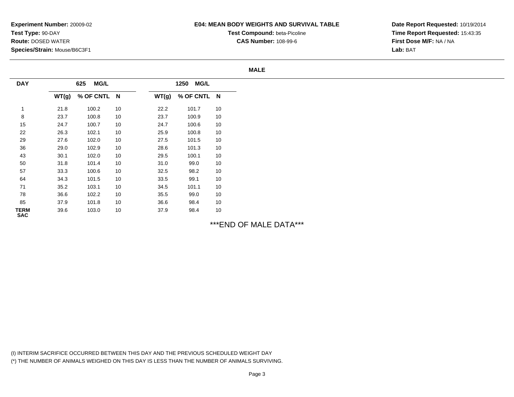## **E04: MEAN BODY WEIGHTS AND SURVIVAL TABLE**

**Test Compound:** beta-Picoline

**CAS Number:** 108-99-6

**Date Report Requested:** 10/19/2014**Time Report Requested:** 15:43:35**First Dose M/F:** NA / NA**Lab:** BAT

#### **MALE**

| <b>DAY</b>                |       | <b>MG/L</b><br>625 |    |       | <b>MG/L</b><br>1250 |        |
|---------------------------|-------|--------------------|----|-------|---------------------|--------|
|                           | WT(g) | % OF CNTL N        |    | WT(g) | % OF CNTL N         |        |
|                           | 21.8  | 100.2              | 10 | 22.2  | 101.7               | 10     |
| 8                         | 23.7  | 100.8              | 10 | 23.7  | 100.9               | 10     |
| 15                        | 24.7  | 100.7              | 10 | 24.7  | 100.6               | $10\,$ |
| 22                        | 26.3  | 102.1              | 10 | 25.9  | 100.8               | $10\,$ |
| 29                        | 27.6  | 102.0              | 10 | 27.5  | 101.5               | 10     |
| 36                        | 29.0  | 102.9              | 10 | 28.6  | 101.3               | 10     |
| 43                        | 30.1  | 102.0              | 10 | 29.5  | 100.1               | 10     |
| 50                        | 31.8  | 101.4              | 10 | 31.0  | 99.0                | 10     |
| 57                        | 33.3  | 100.6              | 10 | 32.5  | 98.2                | 10     |
| 64                        | 34.3  | 101.5              | 10 | 33.5  | 99.1                | $10\,$ |
| 71                        | 35.2  | 103.1              | 10 | 34.5  | 101.1               | $10\,$ |
| 78                        | 36.6  | 102.2              | 10 | 35.5  | 99.0                | $10\,$ |
| 85                        | 37.9  | 101.8              | 10 | 36.6  | 98.4                | $10\,$ |
| <b>TERM</b><br><b>SAC</b> | 39.6  | 103.0              | 10 | 37.9  | 98.4                | 10     |

\*\*\*END OF MALE DATA\*\*\*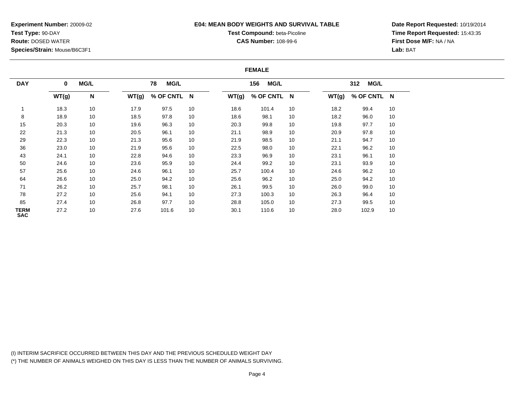### **E04: MEAN BODY WEIGHTS AND SURVIVAL TABLE**

# **Test Compound:** beta-Picoline**CAS Number:** 108-99-6

**Date Report Requested:** 10/19/2014**Time Report Requested:** 15:43:35**First Dose M/F:** NA / NA**Lab:** BAT

#### **FEMALE**

| <b>DAY</b>                | $\mathbf 0$ | <b>MG/L</b> | <b>MG/L</b><br>78 |             |    |       | <b>MG/L</b><br>156 |    |       | <b>MG/L</b><br>312 |    |  |
|---------------------------|-------------|-------------|-------------------|-------------|----|-------|--------------------|----|-------|--------------------|----|--|
|                           | WT(g)       | N           | WT(g)             | % OF CNTL N |    | WT(g) | % OF CNTL N        |    | WT(g) | % OF CNTL N        |    |  |
|                           | 18.3        | 10          | 17.9              | 97.5        | 10 | 18.6  | 101.4              | 10 | 18.2  | 99.4               | 10 |  |
| 8                         | 18.9        | 10          | 18.5              | 97.8        | 10 | 18.6  | 98.1               | 10 | 18.2  | 96.0               | 10 |  |
| 15                        | 20.3        | 10          | 19.6              | 96.3        | 10 | 20.3  | 99.8               | 10 | 19.8  | 97.7               | 10 |  |
| 22                        | 21.3        | 10          | 20.5              | 96.1        | 10 | 21.1  | 98.9               | 10 | 20.9  | 97.8               | 10 |  |
| 29                        | 22.3        | 10          | 21.3              | 95.6        | 10 | 21.9  | 98.5               | 10 | 21.1  | 94.7               | 10 |  |
| 36                        | 23.0        | 10          | 21.9              | 95.6        | 10 | 22.5  | 98.0               | 10 | 22.1  | 96.2               | 10 |  |
| 43                        | 24.1        | 10          | 22.8              | 94.6        | 10 | 23.3  | 96.9               | 10 | 23.1  | 96.1               | 10 |  |
| 50                        | 24.6        | 10          | 23.6              | 95.9        | 10 | 24.4  | 99.2               | 10 | 23.1  | 93.9               | 10 |  |
| 57                        | 25.6        | 10          | 24.6              | 96.1        | 10 | 25.7  | 100.4              | 10 | 24.6  | 96.2               | 10 |  |
| 64                        | 26.6        | 10          | 25.0              | 94.2        | 10 | 25.6  | 96.2               | 10 | 25.0  | 94.2               | 10 |  |
| 71                        | 26.2        | 10          | 25.7              | 98.1        | 10 | 26.1  | 99.5               | 10 | 26.0  | 99.0               | 10 |  |
| 78                        | 27.2        | 10          | 25.6              | 94.1        | 10 | 27.3  | 100.3              | 10 | 26.3  | 96.4               | 10 |  |
| 85                        | 27.4        | 10          | 26.8              | 97.7        | 10 | 28.8  | 105.0              | 10 | 27.3  | 99.5               | 10 |  |
| <b>TERM</b><br><b>SAC</b> | 27.2        | 10          | 27.6              | 101.6       | 10 | 30.1  | 110.6              | 10 | 28.0  | 102.9              | 10 |  |